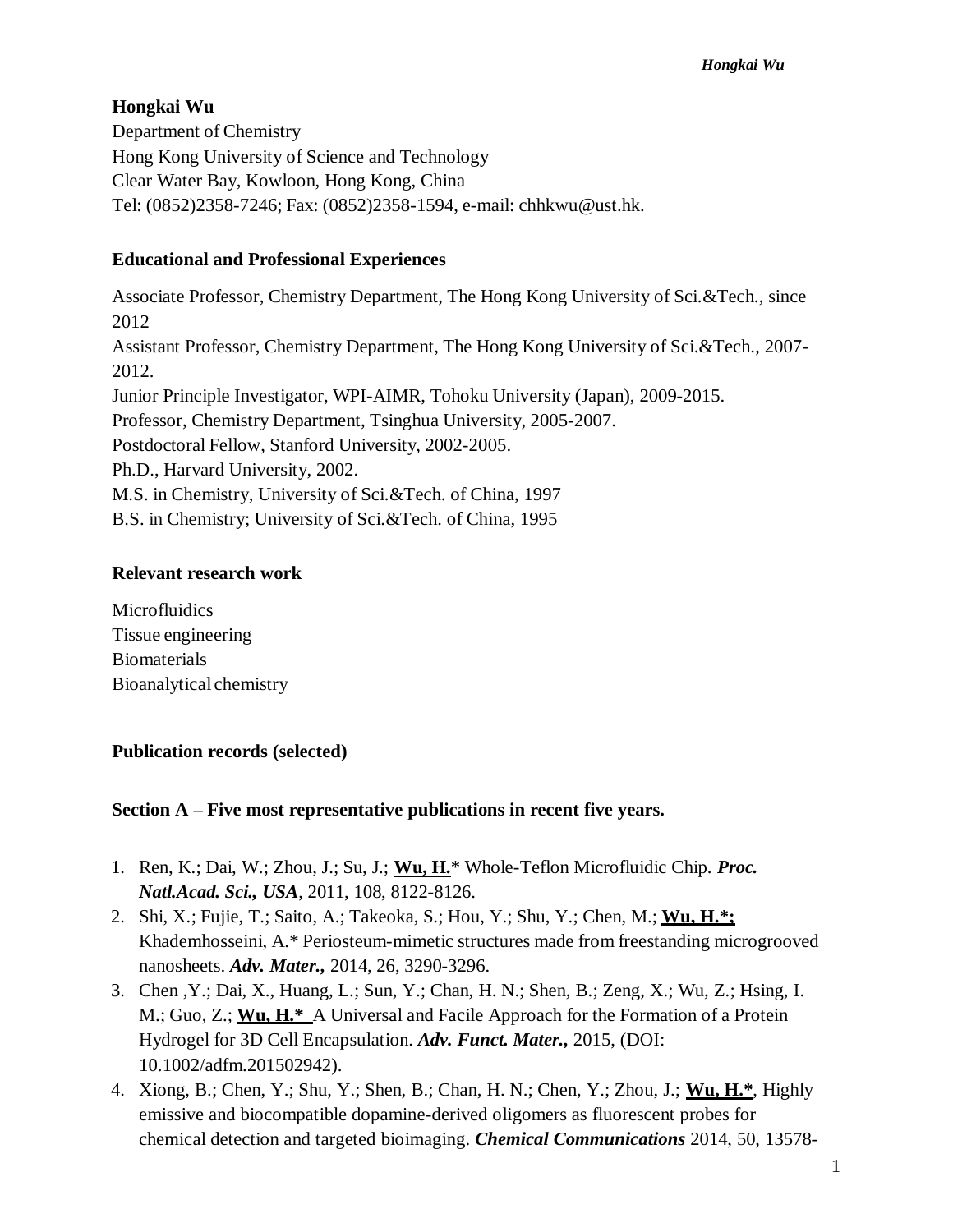# **Hongkai Wu**

Department of Chemistry Hong Kong University of Science and Technology Clear Water Bay, Kowloon, Hong Kong, China Tel: (0852)2358-7246; Fax: (0852)2358-1594, e-mail: [chhkwu@ust.hk.](mailto:chhkwu@ust.hk)

# **Educational and Professional Experiences**

Associate Professor, Chemistry Department, The Hong Kong University of Sci.&Tech., since 2012 Assistant Professor, Chemistry Department, The Hong Kong University of Sci.&Tech., 2007- 2012. Junior Principle Investigator, WPI-AIMR, Tohoku University (Japan), 2009-2015. Professor, Chemistry Department, Tsinghua University, 2005-2007. Postdoctoral Fellow, Stanford University, 2002-2005. Ph.D., Harvard University, 2002. M.S. in Chemistry, University of Sci.&Tech. of China, 1997 B.S. in Chemistry; University of Sci.&Tech. of China, 1995

### **Relevant research work**

**Microfluidics** Tissue engineering Biomaterials Bioanalytical chemistry

#### **Publication records (selected)**

#### **Section A – Five most representative publications in recent five years.**

- 1. Ren, K.; Dai, W.; Zhou, J.; Su, J.; **Wu, H.**\* Whole-Teflon Microfluidic Chip. *Proc. Natl.Acad. Sci., USA*, 2011, 108, 8122-8126.
- 2. Shi, X.; Fujie, T.; Saito, A.; Takeoka, S.; Hou, Y.; Shu, Y.; Chen, M.; **Wu, H.\*;** Khademhosseini, A.\* Periosteum-mimetic structures made from freestanding microgrooved nanosheets. *Adv. Mater.,* 2014, 26, 3290-3296.
- 3. Chen ,Y.; Dai, X., Huang, L.; Sun, Y.; Chan, H. N.; Shen, B.; Zeng, X.; Wu, Z.; Hsing, I. M.; Guo, Z.; **Wu, H.\*** A Universal and Facile Approach for the Formation of a Protein Hydrogel for 3D Cell Encapsulation. *Adv. Funct. Mater.,* 2015, (DOI: 10.1002/adfm.201502942).
- 4. Xiong, B.; Chen, Y.; Shu, Y.; Shen, B.; Chan, H. N.; Chen, Y.; Zhou, J.; **Wu, H.\***, Highly emissive and biocompatible dopamine-derived oligomers as fluorescent probes for chemical detection and targeted bioimaging. *Chemical Communications* 2014, 50, 13578-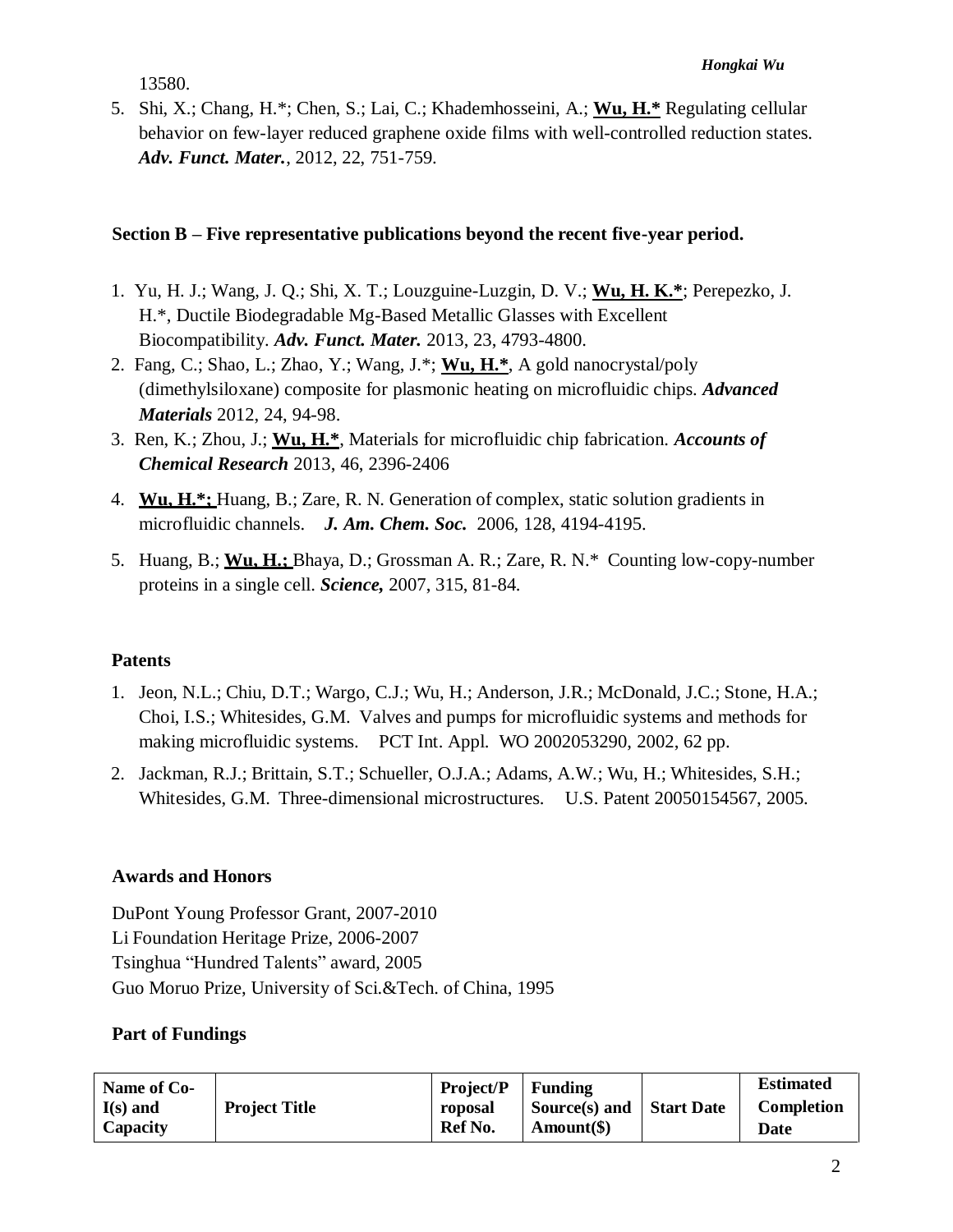13580.

5. Shi, X.; Chang, H.\*; Chen, S.; Lai, C.; Khademhosseini, A.; **Wu, H.\*** Regulating cellular behavior on few-layer reduced graphene oxide films with well-controlled reduction states. *Adv. Funct. Mater.*, 2012, 22, 751-759.

#### **Section B – Five representative publications beyond the recent five-year period.**

- 1. Yu, H. J.; Wang, J. Q.; Shi, X. T.; Louzguine-Luzgin, D. V.; **Wu, H. K.\***; Perepezko, J. H.\*, Ductile Biodegradable Mg-Based Metallic Glasses with Excellent Biocompatibility. *Adv. Funct. Mater.* 2013, 23, 4793-4800.
- 2. Fang, C.; Shao, L.; Zhao, Y.; Wang, J.\*; **Wu, H.\***, A gold nanocrystal/poly (dimethylsiloxane) composite for plasmonic heating on microfluidic chips. *Advanced Materials* 2012, 24, 94-98.
- 3. Ren, K.; Zhou, J.; **Wu, H.\***, Materials for microfluidic chip fabrication. *Accounts of Chemical Research* 2013, 46, 2396-2406
- 4. **Wu, H.\*;** Huang, B.; Zare, R. N. Generation of complex, static solution gradients in microfluidic channels. *J. Am. Chem. Soc.* 2006, 128, 4194-4195.
- 5. Huang, B.; **Wu, H.;** Bhaya, D.; Grossman A. R.; Zare, R. N.\* Counting low-copy-number proteins in a single cell. *Science,* 2007, 315, 81-84.

#### **Patents**

- 1. Jeon, N.L.; Chiu, D.T.; Wargo, C.J.; Wu, H.; Anderson, J.R.; McDonald, J.C.; Stone, H.A.; Choi, I.S.; Whitesides, G.M. Valves and pumps for microfluidic systems and methods for making microfluidic systems. PCT Int. Appl. WO 2002053290, 2002, 62 pp.
- 2. Jackman, R.J.; Brittain, S.T.; Schueller, O.J.A.; Adams, A.W.; Wu, H.; Whitesides, S.H.; Whitesides, G.M. Three-dimensional microstructures. U.S. Patent 20050154567, 2005.

# **Awards and Honors**

DuPont Young Professor Grant, 2007-2010 Li Foundation Heritage Prize, 2006-2007 Tsinghua "Hundred Talents" award, 2005 Guo Moruo Prize, University of Sci.&Tech. of China, 1995

#### **Part of Fundings**

| Name of Co-<br>$I(s)$ and<br>Capacity | <b>Project Title</b> | <b>Project/P</b><br>roposal<br>Ref No. | Funding<br>Source(s) and<br>$Amount(\$))$ | <b>Start Date</b> | <b>Estimated</b><br><b>Completion</b><br>Date |
|---------------------------------------|----------------------|----------------------------------------|-------------------------------------------|-------------------|-----------------------------------------------|
|---------------------------------------|----------------------|----------------------------------------|-------------------------------------------|-------------------|-----------------------------------------------|